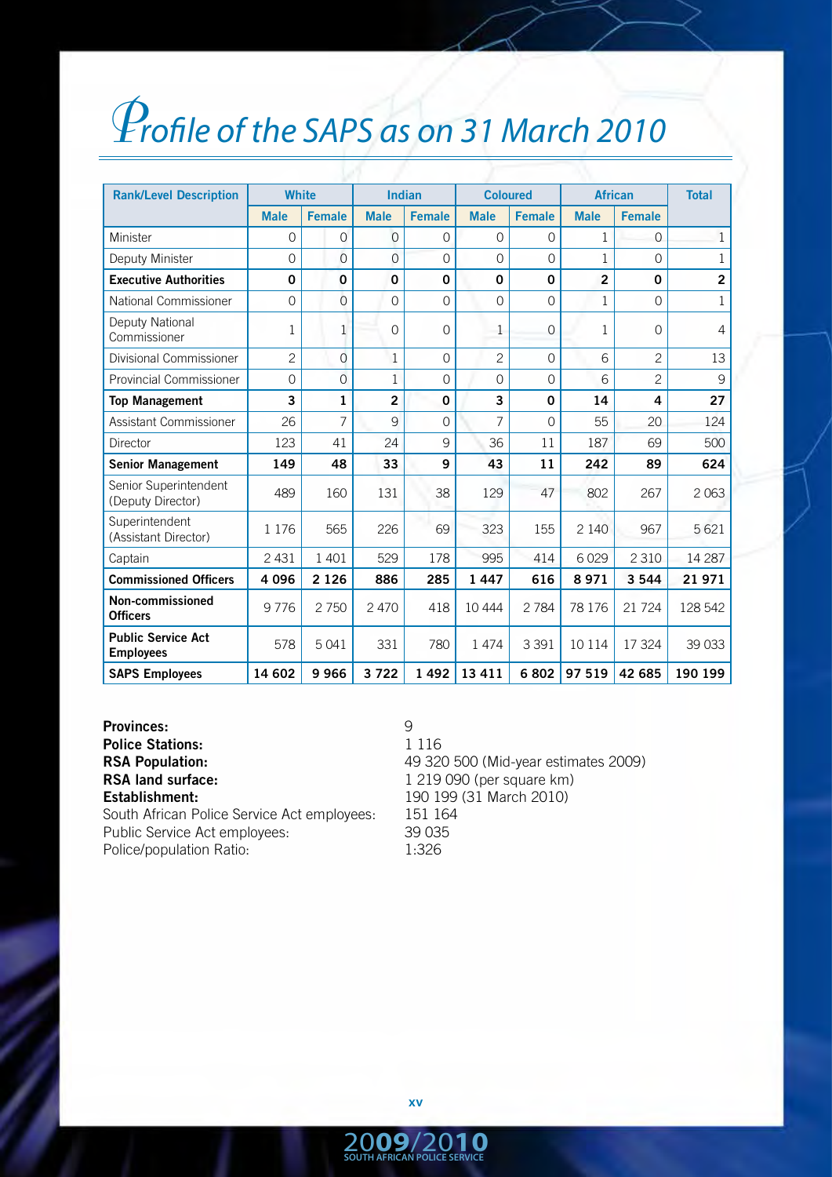## *Profile of the SAPS as on 31 March 2010*

| <b>Rank/Level Description</b>                 | <b>White</b>   |                | <b>Indian</b>  |               | <b>Coloured</b> |               | <b>African</b> |                | <b>Total</b>   |
|-----------------------------------------------|----------------|----------------|----------------|---------------|-----------------|---------------|----------------|----------------|----------------|
|                                               | <b>Male</b>    | <b>Female</b>  | <b>Male</b>    | <b>Female</b> | <b>Male</b>     | <b>Female</b> | <b>Male</b>    | <b>Female</b>  |                |
| Minister                                      | $\Omega$       | $\overline{0}$ | $\mathbf 0$    | $\Omega$      | $\Omega$        | 0             | 1              | $\Omega$       | $\mathbf{1}$   |
| Deputy Minister                               | $\Omega$       | $\overline{O}$ | 0              | $\Omega$      | $\Omega$        | $\Omega$      | 1              | 0              | $\mathbf{1}$   |
| <b>Executive Authorities</b>                  | 0              | 0              | 0              | $\mathbf 0$   | $\mathbf 0$     | 0             | $\overline{2}$ | 0              | $\overline{2}$ |
| National Commissioner                         | $\Omega$       | $\overline{O}$ | $\Omega$       | $\Omega$      | $\Omega$        | $\Omega$      | 1              | $\Omega$       | $\mathbf{1}$   |
| Deputy National<br>Commissioner               | 1              | 1              | 0              | $\Omega$      | 1               | $\Omega$      | 1              | $\Omega$       | 4              |
| Divisional Commissioner                       | $\overline{c}$ | $\overline{O}$ | $\mathbf 1$    | $\mathbf 0$   | $\overline{c}$  | $\mathbf 0$   | 6              | $\overline{2}$ | 13             |
| <b>Provincial Commissioner</b>                | $\mathbf 0$    | $\overline{0}$ | 1              | $\Omega$      | 0               | $\Omega$      | 6              | $\overline{2}$ | 9              |
| <b>Top Management</b>                         | 3              | $\mathbf{1}$   | $\overline{2}$ | 0             | 3               | $\Omega$      | 14             | 4              | 27             |
| Assistant Commissioner                        | 26             | 7              | 9              | $\Omega$      | 7               | $\Omega$      | 55             | 20             | 124            |
| Director                                      | 123            | 41             | 24             | 9             | 36              | 11            | 187            | 69             | 500            |
| <b>Senior Management</b>                      | 149            | 48             | 33             | 9             | 43              | 11            | 242            | 89             | 624            |
| Senior Superintendent<br>(Deputy Director)    | 489            | 160            | 131            | 38            | 129             | 47            | 802            | 267            | 2 0 6 3        |
| Superintendent<br>(Assistant Director)        | 1 1 7 6        | 565            | 226            | 69            | 323             | 155           | 2 1 4 0        | 967            | 5621           |
| Captain                                       | 2 4 3 1        | 1 4 0 1        | 529            | 178           | 995             | 414           | 6029           | 2 3 1 0        | 14 287         |
| <b>Commissioned Officers</b>                  | 4 0 9 6        | 2 1 2 6        | 886            | 285           | 1 4 4 7         | 616           | 8971           | 3 5 4 4        | 21971          |
| Non-commissioned<br><b>Officers</b>           | 9776           | 2750           | 2 4 7 0        | 418           | 10 4 44         | 2 7 8 4       | 78 176         | 21 7 24        | 128 542        |
| <b>Public Service Act</b><br><b>Employees</b> | 578            | 5041           | 331            | 780           | 1474            | 3 3 9 1       | 10 114         | 17 324         | 39 033         |
| <b>SAPS Employees</b>                         | 14 602         | 9966           | 3722           | 1492          | 13 4 11         | 6802          | 97 519         | 42 685         | 190 199        |

**Provinces:** 9<br> **Police Stations:** 9<br>
1 116 **Police Stations: RSA land surface:** 1 219 090 (per square km) **Establishment:** 190 199 (31 March 2010) South African Police Service Act employees:

**RSA Population:** 49 320 500 (Mid-year estimates 2009) Public Service Act employees: 39 035 Police/population Ratio: 1:326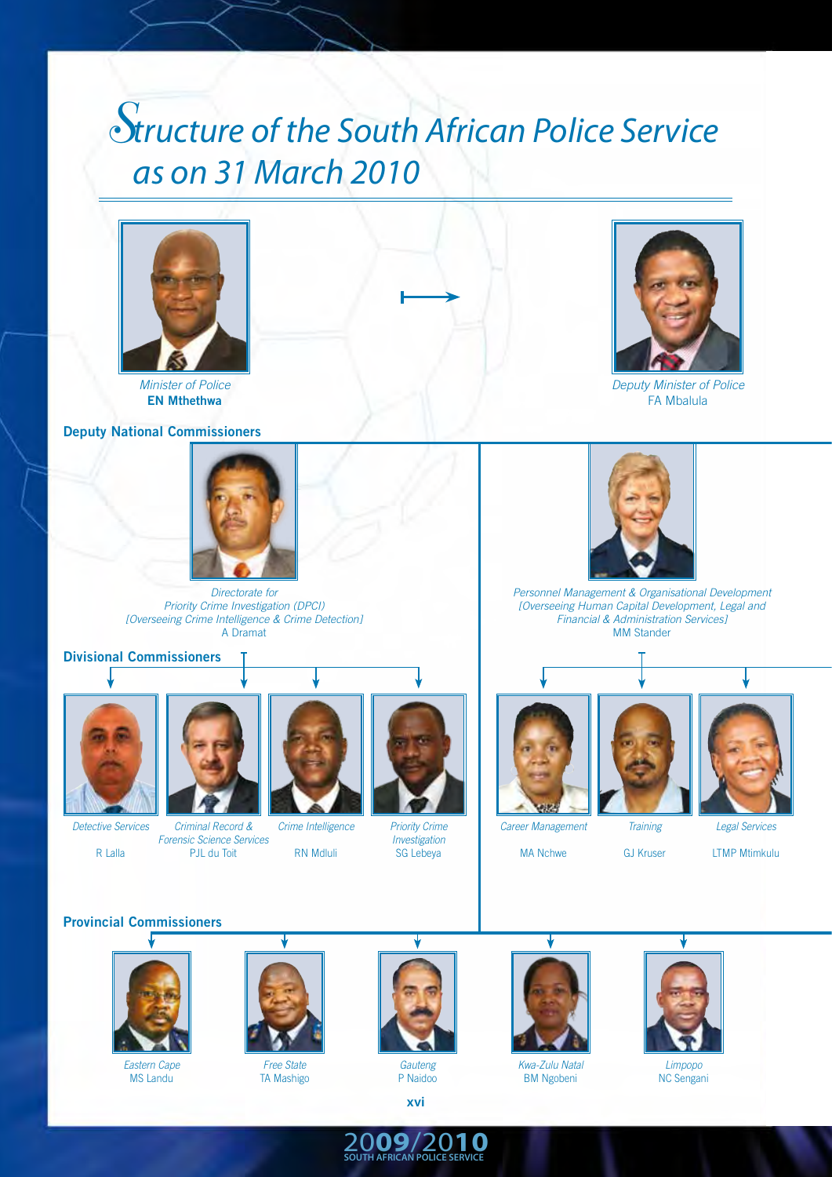### *Structure of the South African Police Service as on 31 March 2010*



*Minister of Police* **EN Mthethwa**

#### **Deputy National Commissioners**



*Directorate for Priority Crime Investigation (DPCI) [Overseeing Crime Intelligence & Crime Detection]* A Dramat

#### **Divisional Commissioners**



*Detective Services*

R Lalla



*Forensic Science Services* PJL du Toit

*Crime Intelligence*

RN Mdluli



*Priority Crime Investigation* SG Lebeya



*Career Management*

MA Nchwe

*Training* GJ Kruser

*Personnel Management & Organisational Development [Overseeing Human Capital Development, Legal and Financial & Administration Services]* MM Stander

*Legal Services*

LTMP Mtimkulu

**Provincial Commissioners**



*Eastern Cape* MS Landu



*Free State* TA Mashigo



*Gauteng* P Naidoo



20**09**/20**10 SOUTH AFRICAN POLICE SERVICE**



*Kwa-Zulu Natal* BM Ngobeni



*Deputy Minister of Police* FA Mbalula

> *Limpopo* NC Sengani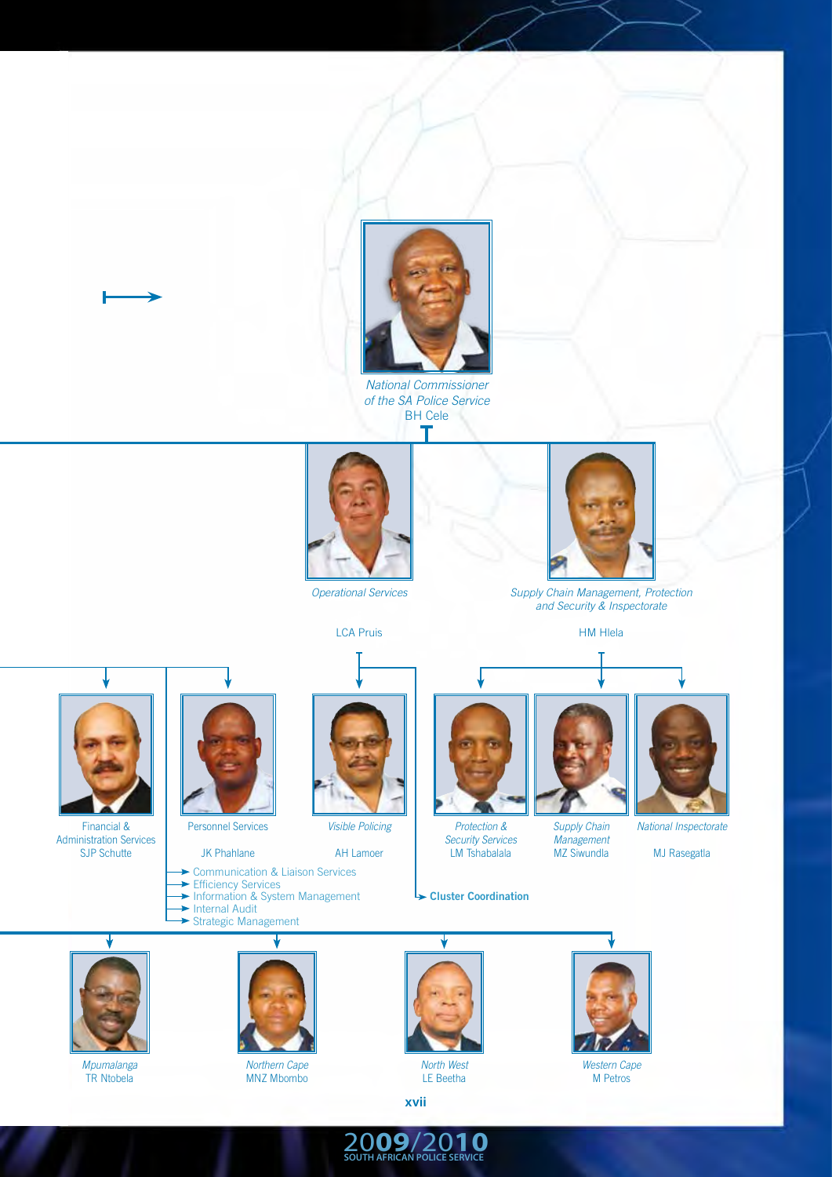![](_page_2_Picture_0.jpeg)

*National Commissioner of the SA Police Service* BH Cele

![](_page_2_Picture_2.jpeg)

![](_page_2_Picture_3.jpeg)

![](_page_2_Picture_4.jpeg)

*Supply Chain Management, Protection and Security & Inspectorate*

![](_page_2_Picture_6.jpeg)

HM Hlela

![](_page_2_Picture_8.jpeg)

Financial & Administration Services SJP Schutte

![](_page_2_Picture_10.jpeg)

Personnel Services

JK Phahlane

- Communication & Liaison Services
- Efficiency Services
- Information & System Management
- Internal Audit Strategic Management

![](_page_2_Picture_17.jpeg)

*Visible Policing*

AH Lamoer

![](_page_2_Picture_20.jpeg)

*Security Services* LM Tshabalala

**Cluster Coordination**

![](_page_2_Picture_23.jpeg)

*Supply Chain Management* MZ Siwundla

*National Inspectorate*  MJ Rasegatla

![](_page_2_Picture_25.jpeg)

*Mpumalanga* TR Ntobela

![](_page_2_Picture_27.jpeg)

**xvii**

20**09**/20**10 SOUTH AFRICAN POLICE SERVICE**

![](_page_2_Picture_29.jpeg)

*Western Cape* M Petros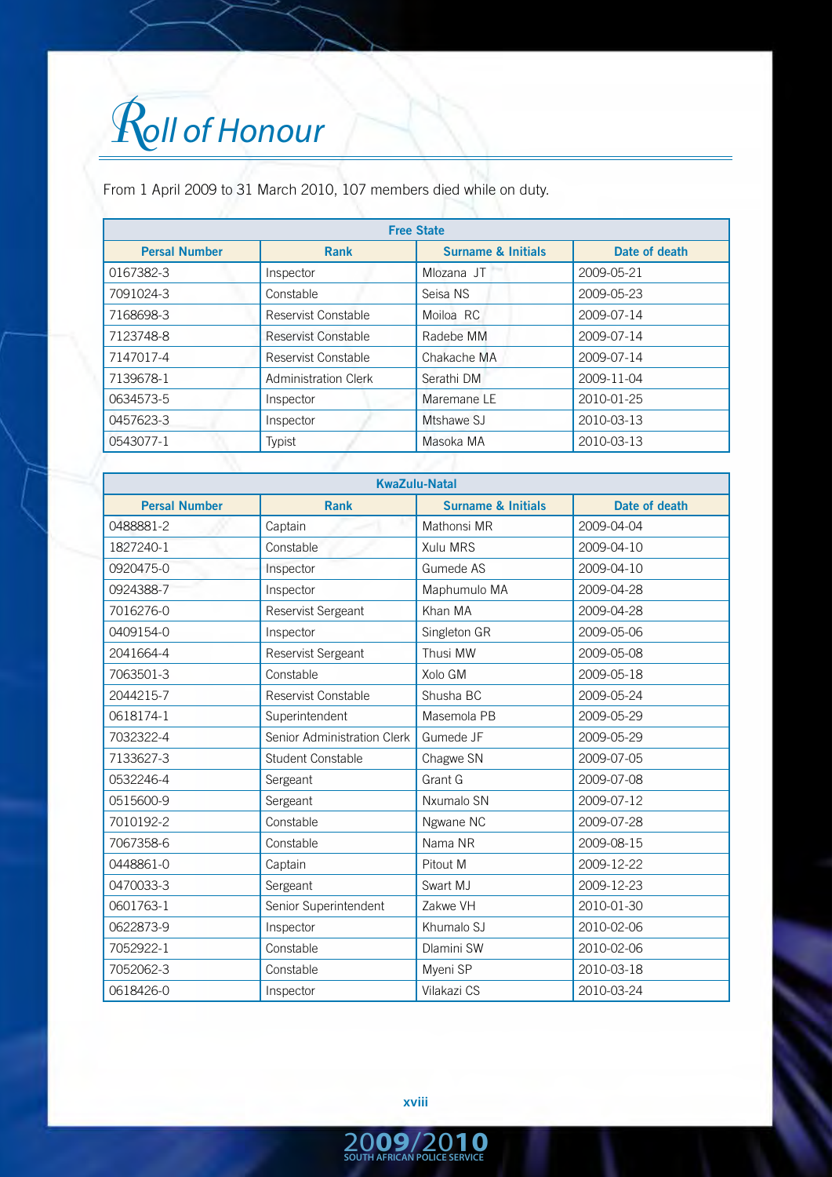# *Roll of Honour*

From 1 April 2009 to 31 March 2010, 107 members died while on duty.

| <b>Free State</b>    |                             |                               |               |  |
|----------------------|-----------------------------|-------------------------------|---------------|--|
| <b>Persal Number</b> | Rank                        | <b>Surname &amp; Initials</b> | Date of death |  |
| 0167382-3            | Inspector                   | Mlozana JT                    | 2009-05-21    |  |
| 7091024-3            | Constable                   | Seisa NS                      | 2009-05-23    |  |
| 7168698-3            | Reservist Constable         | Moiloa RC                     | 2009-07-14    |  |
| 7123748-8            | Reservist Constable         | Radebe MM                     | 2009-07-14    |  |
| 7147017-4            | Reservist Constable         | Chakache MA                   | 2009-07-14    |  |
| 7139678-1            | <b>Administration Clerk</b> | Serathi DM                    | 2009-11-04    |  |
| 0634573-5            | Inspector                   | Maremane LE                   | 2010-01-25    |  |
| 0457623-3            | Inspector                   | Mtshawe SJ                    | 2010-03-13    |  |
| 0543077-1            | Typist                      | Masoka MA                     | 2010-03-13    |  |

| <b>KwaZulu-Natal</b> |                             |                               |               |  |  |
|----------------------|-----------------------------|-------------------------------|---------------|--|--|
| <b>Persal Number</b> | <b>Rank</b>                 | <b>Surname &amp; Initials</b> | Date of death |  |  |
| 0488881-2            | Captain                     | Mathonsi MR                   | 2009-04-04    |  |  |
| 1827240-1            | Constable                   | Xulu MRS                      | 2009-04-10    |  |  |
| 0920475-0            | Inspector                   | Gumede AS                     | 2009-04-10    |  |  |
| 0924388-7            | Inspector                   | Maphumulo MA                  | 2009-04-28    |  |  |
| 7016276-0            | <b>Reservist Sergeant</b>   | Khan MA                       | 2009-04-28    |  |  |
| 0409154-0            | Inspector                   | Singleton GR                  | 2009-05-06    |  |  |
| 2041664-4            | Reservist Sergeant          | Thusi MW                      | 2009-05-08    |  |  |
| 7063501-3            | Constable                   | Xolo GM                       | 2009-05-18    |  |  |
| 2044215-7            | Reservist Constable         | Shusha BC                     | 2009-05-24    |  |  |
| 0618174-1            | Superintendent              | Masemola PB                   | 2009-05-29    |  |  |
| 7032322-4            | Senior Administration Clerk | Gumede JF                     | 2009-05-29    |  |  |
| 7133627-3            | <b>Student Constable</b>    | Chagwe SN                     | 2009-07-05    |  |  |
| 0532246-4            | Sergeant                    | Grant G                       | 2009-07-08    |  |  |
| 0515600-9            | Sergeant                    | Nxumalo SN                    | 2009-07-12    |  |  |
| 7010192-2            | Constable                   | Ngwane NC                     | 2009-07-28    |  |  |
| 7067358-6            | Constable                   | Nama NR                       | 2009-08-15    |  |  |
| 0448861-0            | Captain                     | Pitout M                      | 2009-12-22    |  |  |
| 0470033-3            | Sergeant                    | Swart MJ                      | 2009-12-23    |  |  |
| 0601763-1            | Senior Superintendent       | Zakwe VH                      | 2010-01-30    |  |  |
| 0622873-9            | Inspector                   | Khumalo SJ                    | 2010-02-06    |  |  |
| 7052922-1            | Constable                   | Dlamini SW                    | 2010-02-06    |  |  |
| 7052062-3            | Constable                   | Myeni SP                      | 2010-03-18    |  |  |
| 0618426-0            | Inspector                   | Vilakazi CS                   | 2010-03-24    |  |  |

**xviii**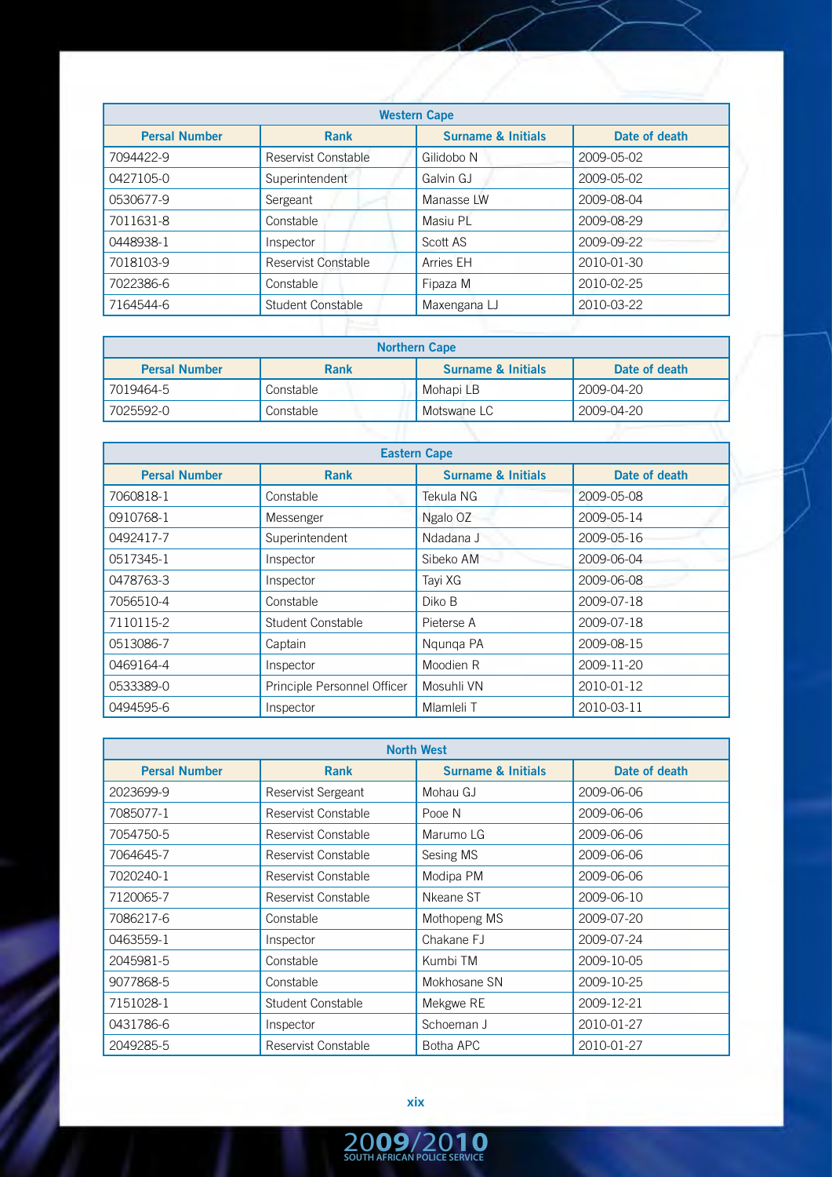| <b>Western Cape</b>  |                          |                               |               |  |
|----------------------|--------------------------|-------------------------------|---------------|--|
| <b>Persal Number</b> | <b>Rank</b>              | <b>Surname &amp; Initials</b> | Date of death |  |
| 7094422-9            | Reservist Constable      | Gilidobo N                    | 2009-05-02    |  |
| 0427105-0            | Superintendent           | Galvin GJ                     | 2009-05-02    |  |
| 0530677-9            | Sergeant                 | Manasse LW                    | 2009-08-04    |  |
| 7011631-8            | Constable                | Masiu PL                      | 2009-08-29    |  |
| 0448938-1            | Inspector                | Scott AS                      | 2009-09-22    |  |
| 7018103-9            | Reservist Constable      | Arries EH                     | 2010-01-30    |  |
| 7022386-6            | Constable                | Fipaza M                      | 2010-02-25    |  |
| 7164544-6            | <b>Student Constable</b> | Maxengana LJ                  | 2010-03-22    |  |
|                      |                          |                               |               |  |

| <b>Northern Cape</b> |           |                               |               |  |
|----------------------|-----------|-------------------------------|---------------|--|
| <b>Persal Number</b> | Rank      | <b>Surname &amp; Initials</b> | Date of death |  |
| 7019464-5            | Constable | Mohapi LB                     | 2009-04-20    |  |
| 7025592-0            | Constable | Motswane LC                   | 2009-04-20    |  |
|                      |           |                               |               |  |

| <b>Eastern Cape</b>  |                             |                               |               |  |
|----------------------|-----------------------------|-------------------------------|---------------|--|
| <b>Persal Number</b> | <b>Rank</b>                 | <b>Surname &amp; Initials</b> | Date of death |  |
| 7060818-1            | Constable                   | Tekula NG                     | 2009-05-08    |  |
| 0910768-1            | Messenger                   | Ngalo OZ                      | 2009-05-14    |  |
| 0492417-7            | Superintendent              | Ndadana J                     | 2009-05-16    |  |
| 0517345-1            | Inspector                   | Sibeko AM                     | 2009-06-04    |  |
| 0478763-3            | Inspector                   | Tayi XG                       | 2009-06-08    |  |
| 7056510-4            | Constable                   | Diko B                        | 2009-07-18    |  |
| 7110115-2            | Student Constable           | Pieterse A                    | 2009-07-18    |  |
| 0513086-7            | Captain                     | Ngunga PA                     | 2009-08-15    |  |
| 0469164-4            | Inspector                   | Moodien R                     | 2009-11-20    |  |
| 0533389-0            | Principle Personnel Officer | Mosuhli VN                    | 2010-01-12    |  |
| 0494595-6            | Inspector                   | Mlamleli T                    | 2010-03-11    |  |

| <b>North West</b>    |                     |                               |               |  |
|----------------------|---------------------|-------------------------------|---------------|--|
| <b>Persal Number</b> | <b>Rank</b>         | <b>Surname &amp; Initials</b> | Date of death |  |
| 2023699-9            | Reservist Sergeant  | Mohau GJ                      | 2009-06-06    |  |
| 7085077-1            | Reservist Constable | Pooe N                        | 2009-06-06    |  |
| 7054750-5            | Reservist Constable | Marumo LG                     | 2009-06-06    |  |
| 7064645-7            | Reservist Constable | Sesing MS                     | 2009-06-06    |  |
| 7020240-1            | Reservist Constable | Modipa PM                     | 2009-06-06    |  |
| 7120065-7            | Reservist Constable | Nkeane ST                     | 2009-06-10    |  |
| 7086217-6            | Constable           | Mothopeng MS                  | 2009-07-20    |  |
| 0463559-1            | Inspector           | Chakane FJ                    | 2009-07-24    |  |
| 2045981-5            | Constable           | Kumbi TM                      | 2009-10-05    |  |
| 9077868-5            | Constable           | Mokhosane SN                  | 2009-10-25    |  |
| 7151028-1            | Student Constable   | Mekgwe RE                     | 2009-12-21    |  |
| 0431786-6            | Inspector           | Schoeman J                    | 2010-01-27    |  |
| 2049285-5            | Reservist Constable | Botha APC                     | 2010-01-27    |  |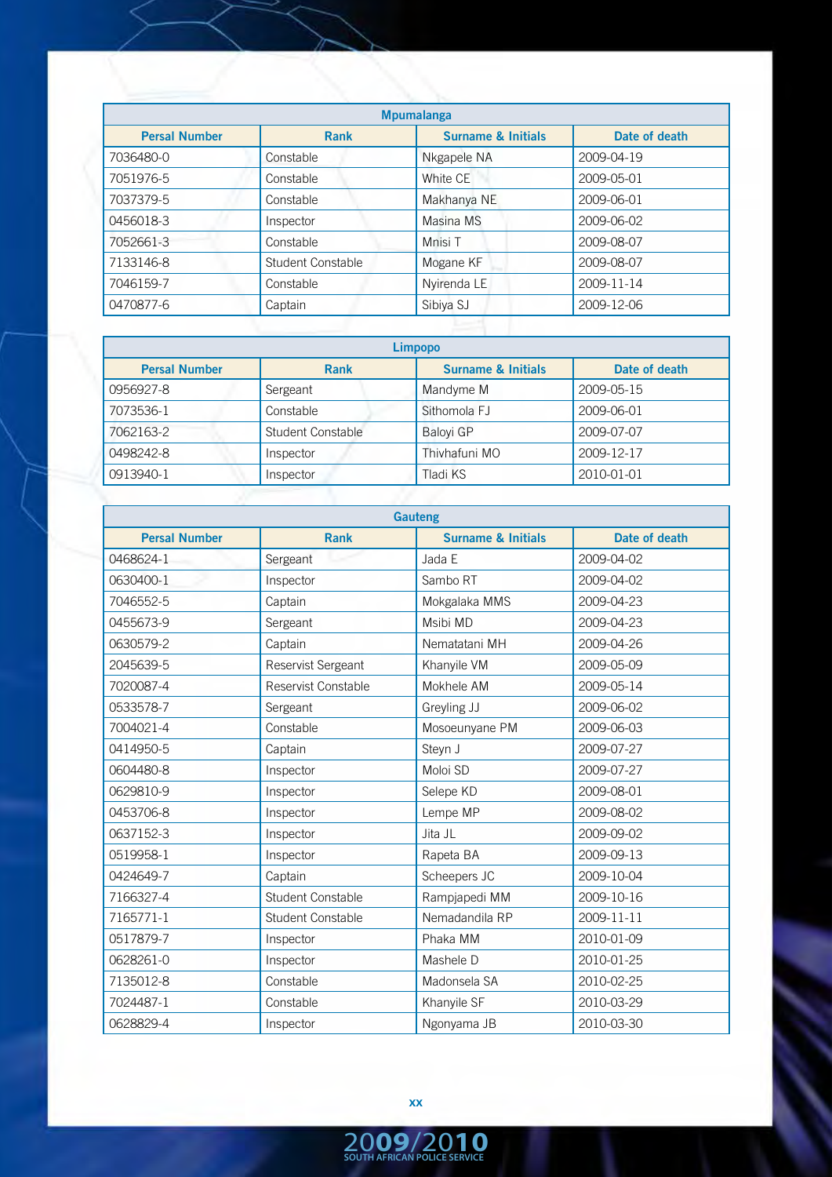| <b>Mpumalanga</b>    |                   |                               |               |  |
|----------------------|-------------------|-------------------------------|---------------|--|
| <b>Persal Number</b> | <b>Rank</b>       | <b>Surname &amp; Initials</b> | Date of death |  |
| 7036480-0            | Constable         | Nkgapele NA                   | 2009-04-19    |  |
| 7051976-5            | Constable         | White CE                      | 2009-05-01    |  |
| 7037379-5            | Constable         | Makhanya NE                   | 2009-06-01    |  |
| 0456018-3            | Inspector         | Masina MS                     | 2009-06-02    |  |
| 7052661-3            | Constable         | Mnisi T                       | 2009-08-07    |  |
| 7133146-8            | Student Constable | Mogane KF                     | 2009-08-07    |  |
| 7046159-7            | Constable         | Nyirenda LE                   | 2009-11-14    |  |
| 0470877-6            | Captain           | Sibiya SJ                     | 2009-12-06    |  |
|                      |                   |                               |               |  |

| Limpopo              |                   |                               |               |  |
|----------------------|-------------------|-------------------------------|---------------|--|
| <b>Persal Number</b> | <b>Rank</b>       | <b>Surname &amp; Initials</b> | Date of death |  |
| 0956927-8            | Sergeant          | Mandyme M                     | 2009-05-15    |  |
| 7073536-1            | Constable         | Sithomola FJ                  | 2009-06-01    |  |
| 7062163-2            | Student Constable | <b>Baloyi GP</b>              | 2009-07-07    |  |
| 0498242-8            | Inspector         | Thivhafuni MO                 | 2009-12-17    |  |
| 0913940-1            | Inspector         | Tladi KS                      | 2010-01-01    |  |

| <b>Gauteng</b>       |                          |                               |               |  |
|----------------------|--------------------------|-------------------------------|---------------|--|
| <b>Persal Number</b> | <b>Rank</b>              | <b>Surname &amp; Initials</b> | Date of death |  |
| 0468624-1            | Sergeant                 | Jada E                        | 2009-04-02    |  |
| 0630400-1            | Inspector                | Sambo RT                      | 2009-04-02    |  |
| 7046552-5            | Captain                  | Mokgalaka MMS                 | 2009-04-23    |  |
| 0455673-9            | Sergeant                 | Msibi MD                      | 2009-04-23    |  |
| 0630579-2            | Captain                  | Nematatani MH                 | 2009-04-26    |  |
| 2045639-5            | Reservist Sergeant       | Khanyile VM                   | 2009-05-09    |  |
| 7020087-4            | Reservist Constable      | Mokhele AM                    | 2009-05-14    |  |
| 0533578-7            | Sergeant                 | Greyling JJ                   | 2009-06-02    |  |
| 7004021-4            | Constable                | Mosoeunyane PM                | 2009-06-03    |  |
| 0414950-5            | Captain                  | Steyn J                       | 2009-07-27    |  |
| 0604480-8            | Inspector                | Moloi SD                      | 2009-07-27    |  |
| 0629810-9            | Inspector                | Selepe KD                     | 2009-08-01    |  |
| 0453706-8            | Inspector                | Lempe MP                      | 2009-08-02    |  |
| 0637152-3            | Inspector                | Jita JL                       | 2009-09-02    |  |
| 0519958-1            | Inspector                | Rapeta BA                     | 2009-09-13    |  |
| 0424649-7            | Captain                  | Scheepers JC                  | 2009-10-04    |  |
| 7166327-4            | Student Constable        | Rampjapedi MM                 | 2009-10-16    |  |
| 7165771-1            | <b>Student Constable</b> | Nemadandila RP                | 2009-11-11    |  |
| 0517879-7            | Inspector                | Phaka MM                      | 2010-01-09    |  |
| 0628261-0            | Inspector                | Mashele D                     | 2010-01-25    |  |
| 7135012-8            | Constable                | Madonsela SA                  | 2010-02-25    |  |
| 7024487-1            | Constable                | Khanyile SF                   | 2010-03-29    |  |
| 0628829-4            | Inspector                | Ngonyama JB                   | 2010-03-30    |  |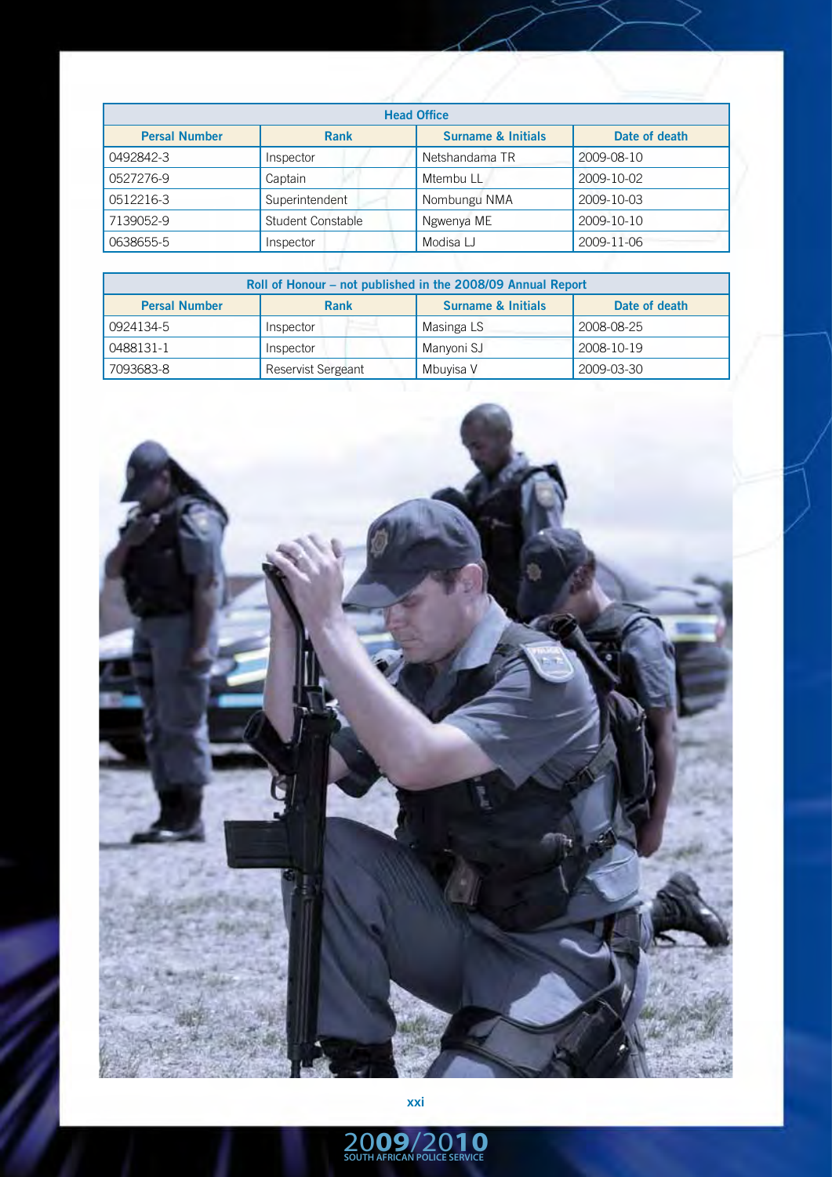| <b>Head Office</b>   |                          |                               |               |  |
|----------------------|--------------------------|-------------------------------|---------------|--|
| <b>Persal Number</b> | <b>Rank</b>              | <b>Surname &amp; Initials</b> | Date of death |  |
| 0492842-3            | Inspector                | Netshandama TR                | 2009-08-10    |  |
| 0527276-9            | Captain                  | Mtembu LL                     | 2009-10-02    |  |
| 0512216-3            | Superintendent           | Nombungu NMA                  | 2009-10-03    |  |
| 7139052-9            | <b>Student Constable</b> | Ngwenya ME                    | 2009-10-10    |  |
| 0638655-5            | Inspector                | Modisa LJ                     | 2009-11-06    |  |

| Roll of Honour – not published in the 2008/09 Annual Report                           |                           |            |            |  |
|---------------------------------------------------------------------------------------|---------------------------|------------|------------|--|
| <b>Surname &amp; Initials</b><br><b>Persal Number</b><br><b>Rank</b><br>Date of death |                           |            |            |  |
| 0924134-5                                                                             | Inspector                 | Masinga LS | 2008-08-25 |  |
| 0488131-1                                                                             | Inspector                 | Manyoni SJ | 2008-10-19 |  |
| 7093683-8                                                                             | <b>Reservist Sergeant</b> | Mbuyisa V  | 2009-03-30 |  |

![](_page_6_Picture_2.jpeg)

**xxi**